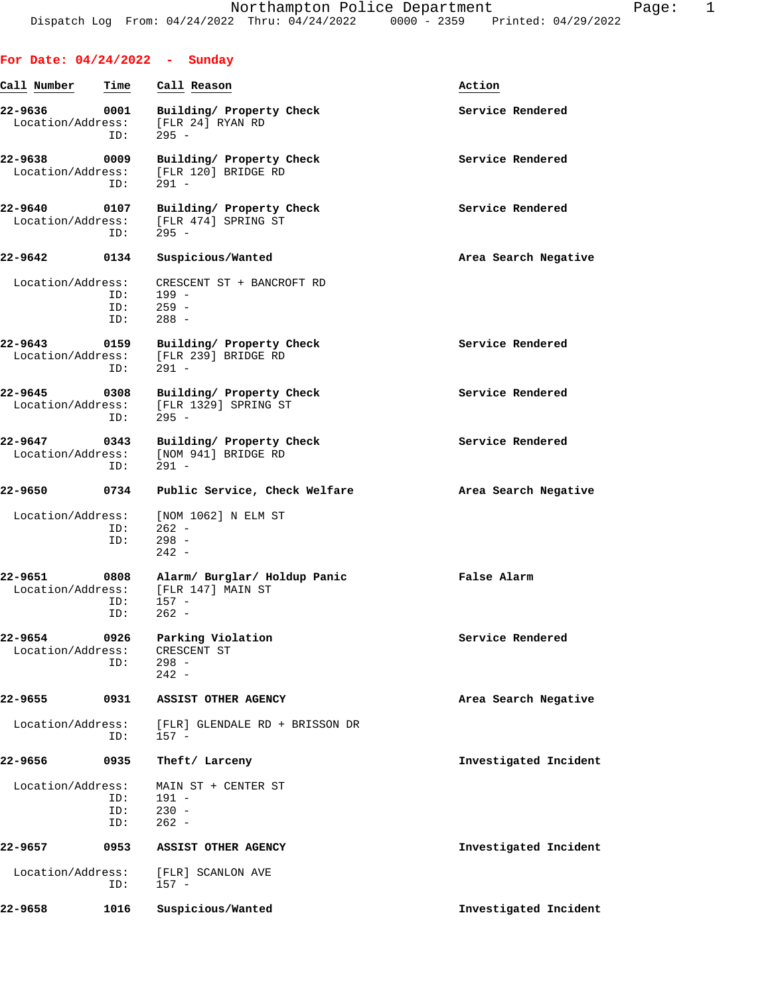| For Date: $04/24/2022 -$ Sunday |                    |                                                                                         |                       |
|---------------------------------|--------------------|-----------------------------------------------------------------------------------------|-----------------------|
| Call Number                     | Time               | Call Reason                                                                             | Action                |
| 22-9636                         | 0001<br>ID:        | Building/ Property Check<br>Location/Address: [FLR 24] RYAN RD<br>$295 -$               | Service Rendered      |
| 22-9638 0009                    | ID:                | Building/ Property Check<br>Location/Address: [FLR 120] BRIDGE RD<br>$291 -$            | Service Rendered      |
| 22-9640 0107                    | ID:                | Building/ Property Check<br>Location/Address: [FLR 474] SPRING ST<br>$295 -$            | Service Rendered      |
| 22-9642 0134                    |                    | Suspicious/Wanted                                                                       | Area Search Negative  |
| Location/Address:               | ID:<br>ID:<br>ID:  | CRESCENT ST + BANCROFT RD<br>199 -<br>$259 -$<br>$288 -$                                |                       |
| 22-9643 0159                    | ID:                | Building/ Property Check<br>Location/Address: [FLR 239] BRIDGE RD<br>291 -              | Service Rendered      |
| 22-9645                         | 0308<br>ID:        | Building/ Property Check<br>Location/Address: [FLR 1329] SPRING ST<br>$295 -$           | Service Rendered      |
| 22-9647 0343                    | ID:                | Building/ Property Check<br>Location/Address: [NOM 941] BRIDGE RD<br>$291 -$            | Service Rendered      |
| 22-9650                         | 0734               | Public Service, Check Welfare                                                           | Area Search Negative  |
| Location/Address:               | ID:<br>ID:         | [NOM 1062] N ELM ST<br>$262 -$<br>$298 -$<br>$242 -$                                    |                       |
| 22-9651                         | 0808<br>ID:<br>ID: | Alarm/ Burglar/ Holdup Panic<br>Location/Address: [FLR 147] MAIN ST<br>$157 -$<br>262 - | False Alarm           |
| 22-9654<br>Location/Address:    | 0926<br>ID:        | Parking Violation<br>CRESCENT ST<br>$298 -$<br>$242 -$                                  | Service Rendered      |
| 22-9655                         | 0931               | ASSIST OTHER AGENCY                                                                     | Area Search Negative  |
| Location/Address:               | ID:                | [FLR] GLENDALE RD + BRISSON DR<br>$157 -$                                               |                       |
| 22-9656                         | 0935               | Theft/ Larceny                                                                          | Investigated Incident |
| Location/Address:               | ID:<br>ID:<br>ID:  | MAIN ST + CENTER ST<br>$191 -$<br>$230 -$<br>$262 -$                                    |                       |
| 22-9657                         | 0953               | ASSIST OTHER AGENCY                                                                     | Investigated Incident |
| Location/Address:               | ID:                | [FLR] SCANLON AVE<br>$157 -$                                                            |                       |
| 22-9658                         | 1016               | Suspicious/Wanted                                                                       | Investigated Incident |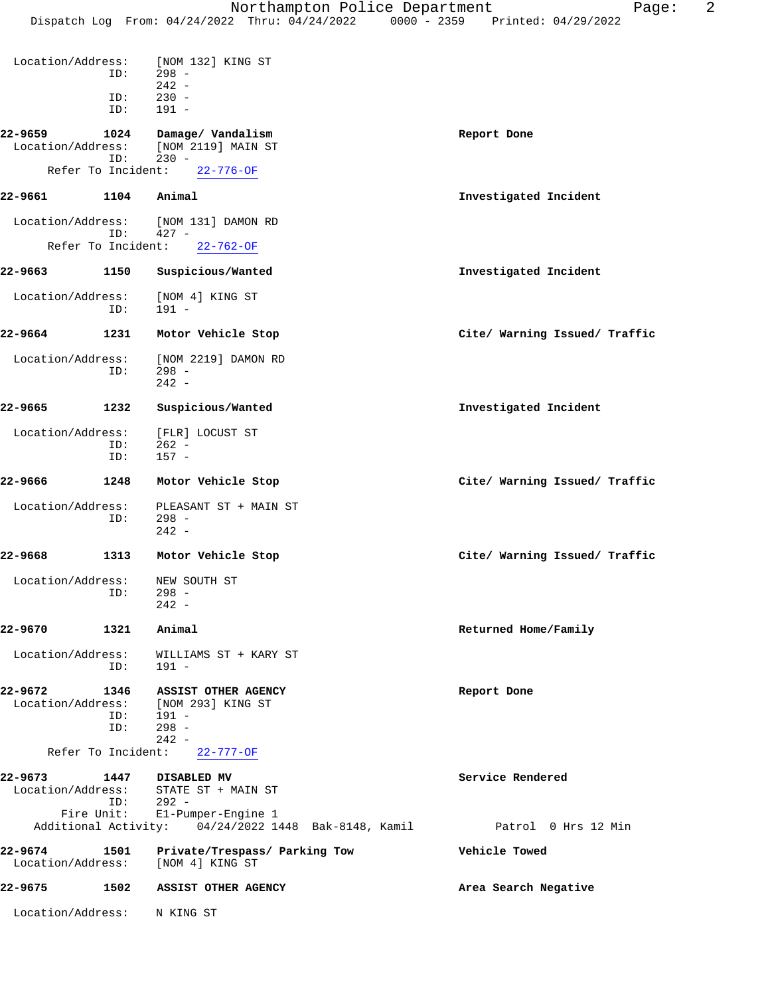| Location/Address:            | ID:                | [NOM 132] KING ST<br>$298 -$<br>$242 -$                                                                                                                                 |                               |
|------------------------------|--------------------|-------------------------------------------------------------------------------------------------------------------------------------------------------------------------|-------------------------------|
|                              | ID:<br>ID:         | $230 -$<br>$191 -$                                                                                                                                                      |                               |
| 22-9659<br>Location/Address: | 1024<br>ID:        | Damage/ Vandalism<br>[NOM 2119] MAIN ST<br>$230 -$                                                                                                                      | Report Done                   |
| Refer To Incident:           |                    | $22 - 776 - OF$                                                                                                                                                         |                               |
| 22-9661                      | 1104               | Animal                                                                                                                                                                  | Investigated Incident         |
| Location/Address:            |                    | [NOM 131] DAMON RD                                                                                                                                                      |                               |
| Refer To Incident:           | ID:                | $427 -$<br>$22 - 762 - OF$                                                                                                                                              |                               |
| 22-9663                      | 1150               | Suspicious/Wanted                                                                                                                                                       | Investigated Incident         |
| Location/Address:            | ID:                | [NOM 4] KING ST<br>$191 -$                                                                                                                                              |                               |
| 22-9664                      | 1231               | Motor Vehicle Stop                                                                                                                                                      | Cite/ Warning Issued/ Traffic |
| Location/Address:            | ID:                | [NOM 2219] DAMON RD<br>$298 -$<br>$242 -$                                                                                                                               |                               |
| 22-9665                      | 1232               | Suspicious/Wanted                                                                                                                                                       | Investigated Incident         |
| Location/Address:            | ID:<br>ID:         | [FLR] LOCUST ST<br>$262 -$<br>$157 -$                                                                                                                                   |                               |
| 22-9666                      | 1248               | Motor Vehicle Stop                                                                                                                                                      | Cite/ Warning Issued/ Traffic |
| Location/Address:            | ID:                | PLEASANT ST + MAIN ST<br>$298 -$<br>$242 -$                                                                                                                             |                               |
| 22-9668                      | 1313               | Motor Vehicle Stop                                                                                                                                                      | Cite/ Warning Issued/ Traffic |
| Location/Address:            | ID:                | NEW SOUTH ST<br>$298 -$<br>$242 -$                                                                                                                                      |                               |
| 22-9670                      | 1321               | Animal                                                                                                                                                                  | Returned Home/Family          |
| Location/Address:            | ID:                | WILLIAMS ST + KARY ST<br>$191 -$                                                                                                                                        |                               |
| 22-9672<br>Location/Address: | 1346<br>ID:<br>ID: | <b>ASSIST OTHER AGENCY</b><br>[NOM 293] KING ST<br>191 -<br>$298 -$<br>$242 -$                                                                                          | Report Done                   |
| Refer To Incident:           |                    | $22 - 777 - OF$                                                                                                                                                         |                               |
| 22-9673<br>Fire Unit:        | 1447<br>ID:        | <b>DISABLED MV</b><br>Location/Address: STATE ST + MAIN ST<br>$292 -$<br>El-Pumper-Engine 1<br>Additional Activity: 04/24/2022 1448 Bak-8148, Kamil Patrol 0 Hrs 12 Min | Service Rendered              |
| 22-9674<br>Location/Address: | 1501               | Private/Trespass/ Parking Tow<br>[NOM 4] KING ST                                                                                                                        | Vehicle Towed                 |
| 22-9675                      | 1502               | <b>ASSIST OTHER AGENCY</b>                                                                                                                                              | Area Search Negative          |
| Location/Address:            |                    | N KING ST                                                                                                                                                               |                               |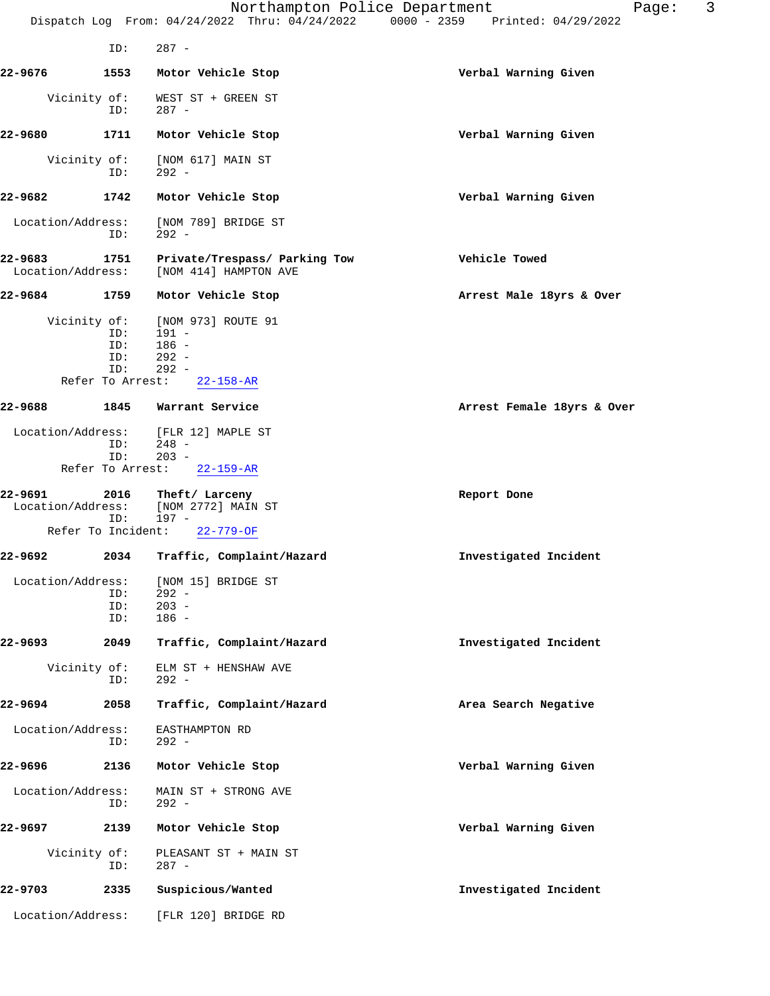|                              |                                              | Northampton Police Department<br>Dispatch Log From: 04/24/2022 Thru: 04/24/2022   | 3<br>Page:<br>0000 - 2359 Printed: 04/29/2022 |
|------------------------------|----------------------------------------------|-----------------------------------------------------------------------------------|-----------------------------------------------|
|                              | ID:                                          | $287 -$                                                                           |                                               |
| 22-9676                      | 1553                                         | Motor Vehicle Stop                                                                | Verbal Warning Given                          |
| Vicinity of:                 | ID:                                          | WEST ST + GREEN ST<br>$287 -$                                                     |                                               |
| 22-9680                      | 1711                                         | Motor Vehicle Stop                                                                | Verbal Warning Given                          |
| Vicinity of:                 | ID:                                          | [NOM 617] MAIN ST<br>$292 -$                                                      |                                               |
| 22-9682                      | 1742                                         | Motor Vehicle Stop                                                                | Verbal Warning Given                          |
| Location/Address:            | ID:                                          | [NOM 789] BRIDGE ST<br>$292 -$                                                    |                                               |
| 22-9683<br>Location/Address: | 1751                                         | Private/Trespass/ Parking Tow<br>[NOM 414] HAMPTON AVE                            | Vehicle Towed                                 |
| 22-9684                      | 1759                                         | Motor Vehicle Stop                                                                | Arrest Male 18yrs & Over                      |
| Vicinity of:                 | ID:<br>ID:<br>ID:<br>ID:<br>Refer To Arrest: | [NOM 973] ROUTE 91<br>$191 -$<br>$186 -$<br>$292 -$<br>$292 -$<br>$22 - 158 - AR$ |                                               |
| 22-9688                      | 1845                                         | Warrant Service                                                                   | Arrest Female 18yrs & Over                    |
| Location/Address:            | ID:<br>ID:<br>Refer To Arrest:               | [FLR 12] MAPLE ST<br>$248 -$<br>$203 -$<br>$22 - 159 - AR$                        |                                               |
| 22-9691<br>Location/Address: | 2016<br>ID:                                  | Theft/ Larceny<br>[NOM 2772] MAIN ST<br>$197 -$                                   | Report Done                                   |
|                              | Refer To Incident:                           | $22 - 779 - OF$                                                                   |                                               |
| 22-9692                      | 2034                                         | Traffic, Complaint/Hazard                                                         | Investigated Incident                         |
| Location/Address:            | ID:<br>ID:<br>ID:                            | [NOM 15] BRIDGE ST<br>$292 -$<br>$203 -$<br>$186 -$                               |                                               |
| 22-9693                      | 2049                                         | Traffic, Complaint/Hazard                                                         | Investigated Incident                         |
| Vicinity of:                 | ID:                                          | ELM ST + HENSHAW AVE<br>$292 -$                                                   |                                               |
| 22-9694                      | 2058                                         | Traffic, Complaint/Hazard                                                         | Area Search Negative                          |
| Location/Address:            | ID:                                          | EASTHAMPTON RD<br>$292 -$                                                         |                                               |
| 22-9696                      | 2136                                         | Motor Vehicle Stop                                                                | Verbal Warning Given                          |
| Location/Address:            | ID:                                          | MAIN ST + STRONG AVE<br>$292 -$                                                   |                                               |
| 22-9697                      | 2139                                         | Motor Vehicle Stop                                                                | Verbal Warning Given                          |
| Vicinity of:                 | ID:                                          | PLEASANT ST + MAIN ST<br>$287 -$                                                  |                                               |
| 22-9703                      | 2335                                         | Suspicious/Wanted                                                                 | Investigated Incident                         |
| Location/Address:            |                                              | [FLR 120] BRIDGE RD                                                               |                                               |